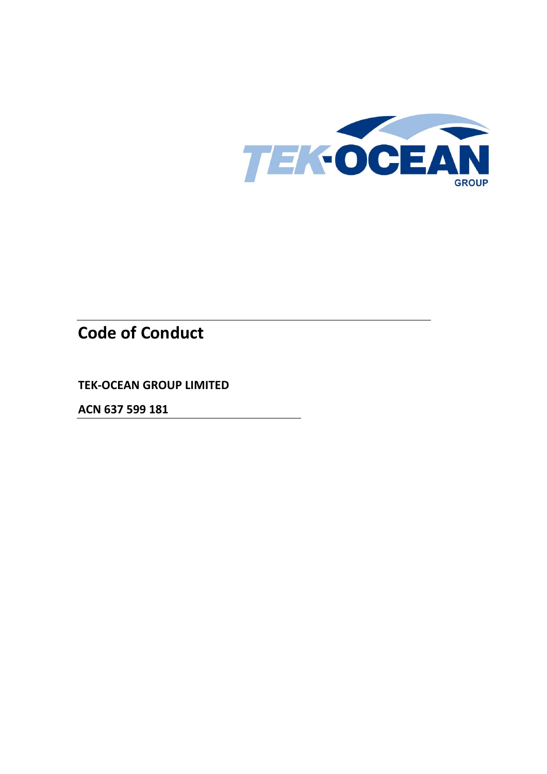

# **Code of Conduct**

**TEK-OCEAN GROUP LIMITED**

**ACN 637 599 181**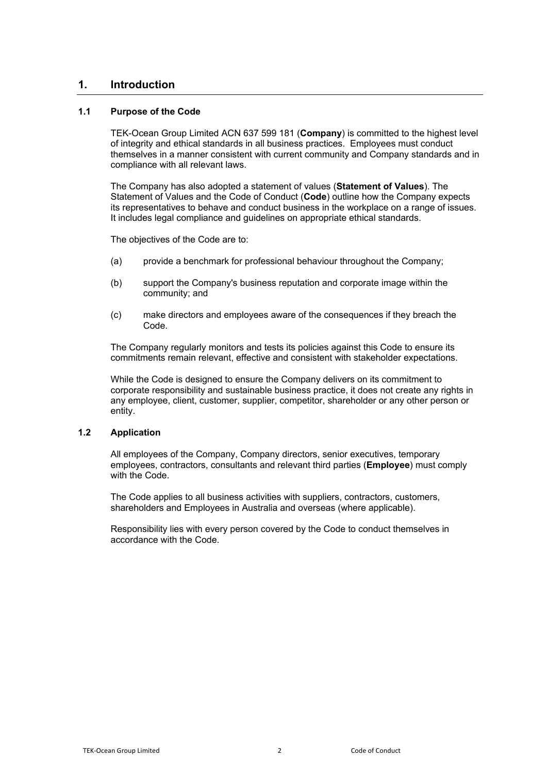## **1. Introduction**

## **1.1 Purpose of the Code**

TEK-Ocean Group Limited ACN 637 599 181 (**Company**) is committed to the highest level of integrity and ethical standards in all business practices. Employees must conduct themselves in a manner consistent with current community and Company standards and in compliance with all relevant laws.

The Company has also adopted a statement of values (**Statement of Values**). The Statement of Values and the Code of Conduct (**Code**) outline how the Company expects its representatives to behave and conduct business in the workplace on a range of issues. It includes legal compliance and guidelines on appropriate ethical standards.

The objectives of the Code are to:

- (a) provide a benchmark for professional behaviour throughout the Company;
- (b) support the Company's business reputation and corporate image within the community; and
- (c) make directors and employees aware of the consequences if they breach the Code.

The Company regularly monitors and tests its policies against this Code to ensure its commitments remain relevant, effective and consistent with stakeholder expectations.

While the Code is designed to ensure the Company delivers on its commitment to corporate responsibility and sustainable business practice, it does not create any rights in any employee, client, customer, supplier, competitor, shareholder or any other person or entity.

## **1.2 Application**

All employees of the Company, Company directors, senior executives, temporary employees, contractors, consultants and relevant third parties (**Employee**) must comply with the Code.

The Code applies to all business activities with suppliers, contractors, customers, shareholders and Employees in Australia and overseas (where applicable).

Responsibility lies with every person covered by the Code to conduct themselves in accordance with the Code.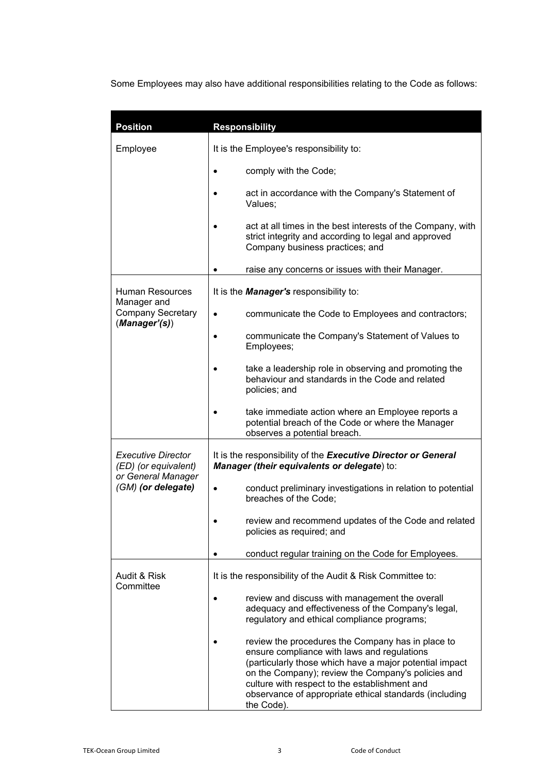Some Employees may also have additional responsibilities relating to the Code as follows:

| <b>Position</b>                                                                               | <b>Responsibility</b>                                                                                                                                                                                                                                                                                                                      |
|-----------------------------------------------------------------------------------------------|--------------------------------------------------------------------------------------------------------------------------------------------------------------------------------------------------------------------------------------------------------------------------------------------------------------------------------------------|
| Employee                                                                                      | It is the Employee's responsibility to:                                                                                                                                                                                                                                                                                                    |
|                                                                                               | comply with the Code;                                                                                                                                                                                                                                                                                                                      |
|                                                                                               | act in accordance with the Company's Statement of<br>Values:                                                                                                                                                                                                                                                                               |
|                                                                                               | act at all times in the best interests of the Company, with<br>strict integrity and according to legal and approved<br>Company business practices; and                                                                                                                                                                                     |
|                                                                                               | raise any concerns or issues with their Manager.                                                                                                                                                                                                                                                                                           |
| <b>Human Resources</b><br>Manager and<br><b>Company Secretary</b><br>(Manager'(s))            | It is the <b>Manager's</b> responsibility to:                                                                                                                                                                                                                                                                                              |
|                                                                                               | communicate the Code to Employees and contractors;<br>$\bullet$                                                                                                                                                                                                                                                                            |
|                                                                                               | communicate the Company's Statement of Values to<br>Employees;                                                                                                                                                                                                                                                                             |
|                                                                                               | take a leadership role in observing and promoting the<br>behaviour and standards in the Code and related<br>policies; and                                                                                                                                                                                                                  |
|                                                                                               | take immediate action where an Employee reports a<br>potential breach of the Code or where the Manager<br>observes a potential breach.                                                                                                                                                                                                     |
| <b>Executive Director</b><br>(ED) (or equivalent)<br>or General Manager<br>(GM) (or delegate) | It is the responsibility of the Executive Director or General<br>Manager (their equivalents or delegate) to:                                                                                                                                                                                                                               |
|                                                                                               | conduct preliminary investigations in relation to potential<br>breaches of the Code;                                                                                                                                                                                                                                                       |
|                                                                                               | review and recommend updates of the Code and related<br>policies as required; and                                                                                                                                                                                                                                                          |
|                                                                                               | conduct regular training on the Code for Employees.                                                                                                                                                                                                                                                                                        |
| Audit & Risk<br>Committee                                                                     | It is the responsibility of the Audit & Risk Committee to:                                                                                                                                                                                                                                                                                 |
|                                                                                               | review and discuss with management the overall<br>adequacy and effectiveness of the Company's legal,<br>regulatory and ethical compliance programs;                                                                                                                                                                                        |
|                                                                                               | review the procedures the Company has in place to<br>ensure compliance with laws and regulations<br>(particularly those which have a major potential impact<br>on the Company); review the Company's policies and<br>culture with respect to the establishment and<br>observance of appropriate ethical standards (including<br>the Code). |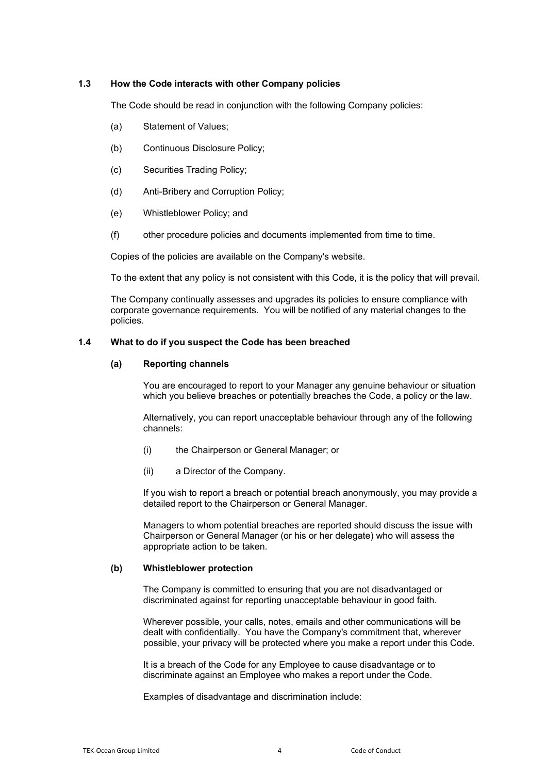## **1.3 How the Code interacts with other Company policies**

The Code should be read in conjunction with the following Company policies:

- (a) Statement of Values;
- (b) Continuous Disclosure Policy;
- (c) Securities Trading Policy;
- (d) Anti-Bribery and Corruption Policy;
- (e) Whistleblower Policy; and
- (f) other procedure policies and documents implemented from time to time.

Copies of the policies are available on the Company's website.

To the extent that any policy is not consistent with this Code, it is the policy that will prevail.

The Company continually assesses and upgrades its policies to ensure compliance with corporate governance requirements. You will be notified of any material changes to the policies.

## <span id="page-3-0"></span>**1.4 What to do if you suspect the Code has been breached**

#### **(a) Reporting channels**

You are encouraged to report to your Manager any genuine behaviour or situation which you believe breaches or potentially breaches the Code, a policy or the law.

Alternatively, you can report unacceptable behaviour through any of the following channels:

- (i) the Chairperson or General Manager; or
- (ii) a Director of the Company.

If you wish to report a breach or potential breach anonymously, you may provide a detailed report to the Chairperson or General Manager.

Managers to whom potential breaches are reported should discuss the issue with Chairperson or General Manager (or his or her delegate) who will assess the appropriate action to be taken.

## **(b) Whistleblower protection**

The Company is committed to ensuring that you are not disadvantaged or discriminated against for reporting unacceptable behaviour in good faith.

Wherever possible, your calls, notes, emails and other communications will be dealt with confidentially. You have the Company's commitment that, wherever possible, your privacy will be protected where you make a report under this Code.

It is a breach of the Code for any Employee to cause disadvantage or to discriminate against an Employee who makes a report under the Code.

Examples of disadvantage and discrimination include: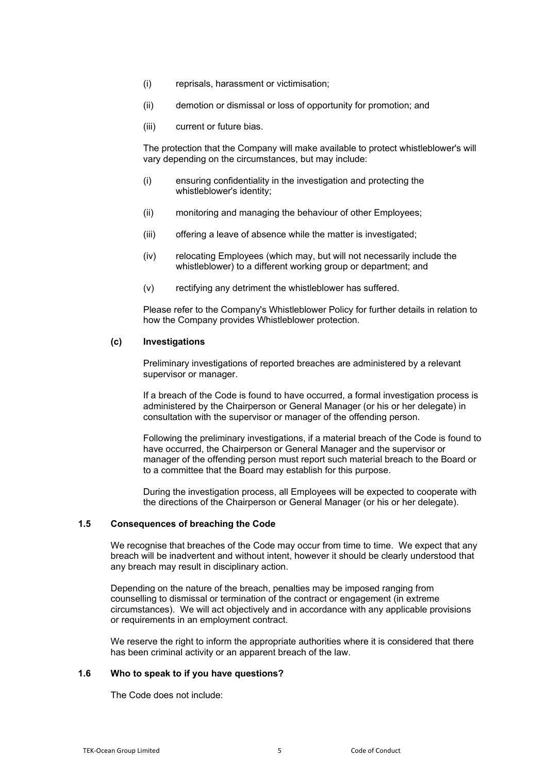- (i) reprisals, harassment or victimisation;
- (ii) demotion or dismissal or loss of opportunity for promotion; and
- (iii) current or future bias.

The protection that the Company will make available to protect whistleblower's will vary depending on the circumstances, but may include:

- (i) ensuring confidentiality in the investigation and protecting the whistleblower's identity;
- (ii) monitoring and managing the behaviour of other Employees;
- (iii) offering a leave of absence while the matter is investigated;
- (iv) relocating Employees (which may, but will not necessarily include the whistleblower) to a different working group or department; and
- (v) rectifying any detriment the whistleblower has suffered.

Please refer to the Company's Whistleblower Policy for further details in relation to how the Company provides Whistleblower protection.

## **(c) Investigations**

Preliminary investigations of reported breaches are administered by a relevant supervisor or manager.

If a breach of the Code is found to have occurred, a formal investigation process is administered by the Chairperson or General Manager (or his or her delegate) in consultation with the supervisor or manager of the offending person.

Following the preliminary investigations, if a material breach of the Code is found to have occurred, the Chairperson or General Manager and the supervisor or manager of the offending person must report such material breach to the Board or to a committee that the Board may establish for this purpose.

During the investigation process, all Employees will be expected to cooperate with the directions of the Chairperson or General Manager (or his or her delegate).

#### **1.5 Consequences of breaching the Code**

We recognise that breaches of the Code may occur from time to time. We expect that any breach will be inadvertent and without intent, however it should be clearly understood that any breach may result in disciplinary action.

Depending on the nature of the breach, penalties may be imposed ranging from counselling to dismissal or termination of the contract or engagement (in extreme circumstances). We will act objectively and in accordance with any applicable provisions or requirements in an employment contract.

We reserve the right to inform the appropriate authorities where it is considered that there has been criminal activity or an apparent breach of the law.

#### **1.6 Who to speak to if you have questions?**

The Code does not include: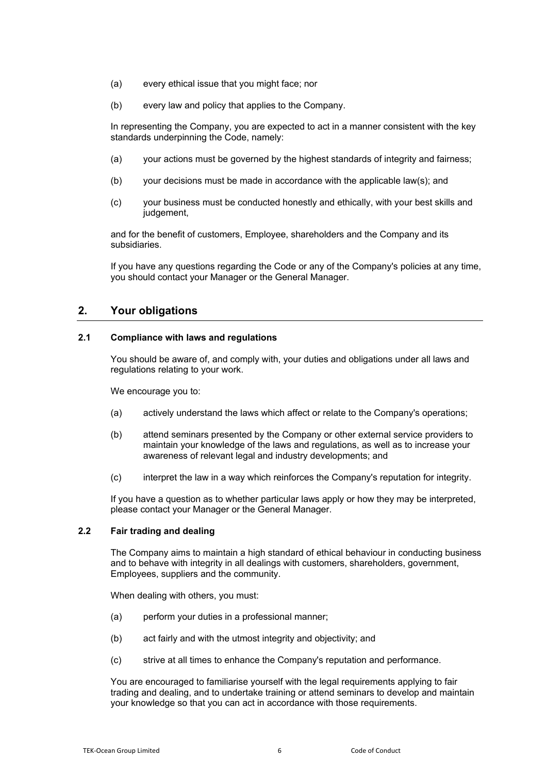- (a) every ethical issue that you might face; nor
- (b) every law and policy that applies to the Company.

In representing the Company, you are expected to act in a manner consistent with the key standards underpinning the Code, namely:

- (a) your actions must be governed by the highest standards of integrity and fairness;
- (b) your decisions must be made in accordance with the applicable law(s); and
- (c) your business must be conducted honestly and ethically, with your best skills and judgement,

and for the benefit of customers, Employee, shareholders and the Company and its subsidiaries.

If you have any questions regarding the Code or any of the Company's policies at any time, you should contact your Manager or the General Manager.

# **2. Your obligations**

# **2.1 Compliance with laws and regulations**

You should be aware of, and comply with, your duties and obligations under all laws and regulations relating to your work.

We encourage you to:

- (a) actively understand the laws which affect or relate to the Company's operations;
- (b) attend seminars presented by the Company or other external service providers to maintain your knowledge of the laws and regulations, as well as to increase your awareness of relevant legal and industry developments; and
- (c) interpret the law in a way which reinforces the Company's reputation for integrity.

If you have a question as to whether particular laws apply or how they may be interpreted, please contact your Manager or the General Manager.

# **2.2 Fair trading and dealing**

The Company aims to maintain a high standard of ethical behaviour in conducting business and to behave with integrity in all dealings with customers, shareholders, government, Employees, suppliers and the community.

When dealing with others, you must:

- (a) perform your duties in a professional manner;
- (b) act fairly and with the utmost integrity and objectivity; and
- (c) strive at all times to enhance the Company's reputation and performance.

You are encouraged to familiarise yourself with the legal requirements applying to fair trading and dealing, and to undertake training or attend seminars to develop and maintain your knowledge so that you can act in accordance with those requirements.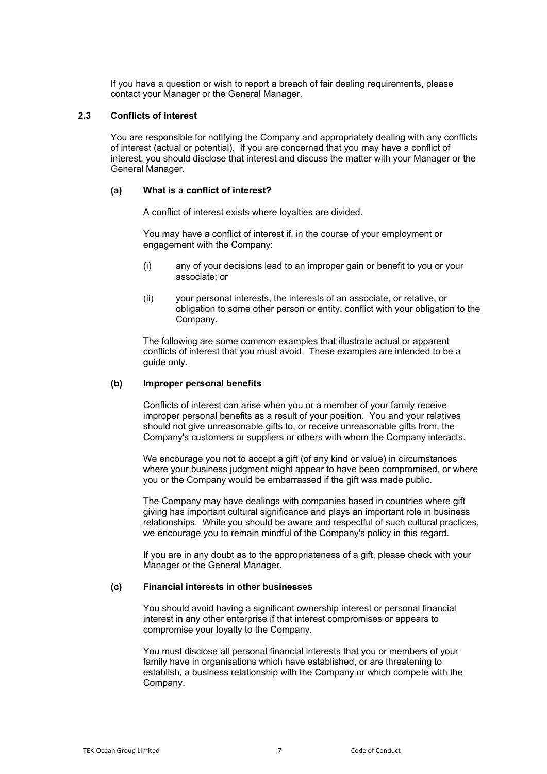If you have a question or wish to report a breach of fair dealing requirements, please contact your Manager or the General Manager.

## **2.3 Conflicts of interest**

You are responsible for notifying the Company and appropriately dealing with any conflicts of interest (actual or potential). If you are concerned that you may have a conflict of interest, you should disclose that interest and discuss the matter with your Manager or the General Manager.

## **(a) What is a conflict of interest?**

A conflict of interest exists where loyalties are divided.

You may have a conflict of interest if, in the course of your employment or engagement with the Company:

- (i) any of your decisions lead to an improper gain or benefit to you or your associate; or
- (ii) your personal interests, the interests of an associate, or relative, or obligation to some other person or entity, conflict with your obligation to the Company.

The following are some common examples that illustrate actual or apparent conflicts of interest that you must avoid. These examples are intended to be a guide only.

#### <span id="page-6-0"></span>**(b) Improper personal benefits**

Conflicts of interest can arise when you or a member of your family receive improper personal benefits as a result of your position. You and your relatives should not give unreasonable gifts to, or receive unreasonable gifts from, the Company's customers or suppliers or others with whom the Company interacts.

We encourage you not to accept a gift (of any kind or value) in circumstances where your business judgment might appear to have been compromised, or where you or the Company would be embarrassed if the gift was made public.

The Company may have dealings with companies based in countries where gift giving has important cultural significance and plays an important role in business relationships. While you should be aware and respectful of such cultural practices, we encourage you to remain mindful of the Company's policy in this regard.

If you are in any doubt as to the appropriateness of a gift, please check with your Manager or the General Manager.

#### **(c) Financial interests in other businesses**

You should avoid having a significant ownership interest or personal financial interest in any other enterprise if that interest compromises or appears to compromise your loyalty to the Company.

You must disclose all personal financial interests that you or members of your family have in organisations which have established, or are threatening to establish, a business relationship with the Company or which compete with the Company.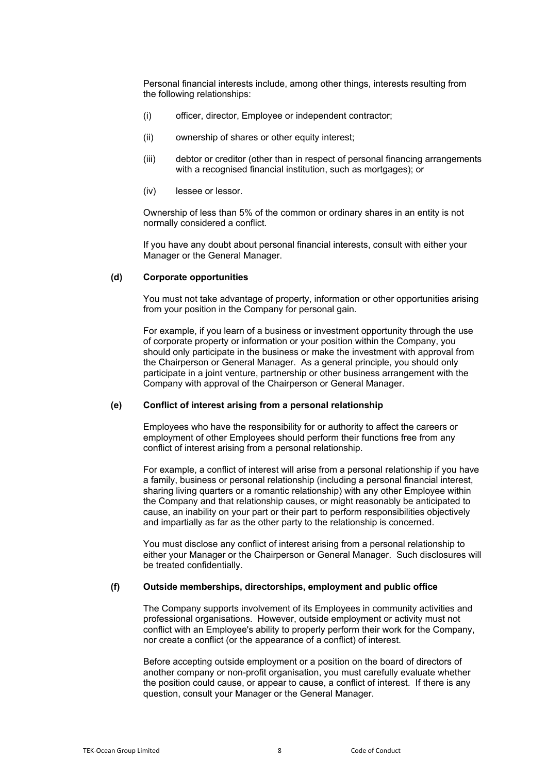Personal financial interests include, among other things, interests resulting from the following relationships:

- (i) officer, director, Employee or independent contractor;
- (ii) ownership of shares or other equity interest;
- (iii) debtor or creditor (other than in respect of personal financing arrangements with a recognised financial institution, such as mortgages); or
- (iv) lessee or lessor.

Ownership of less than 5% of the common or ordinary shares in an entity is not normally considered a conflict.

If you have any doubt about personal financial interests, consult with either your Manager or the General Manager.

## **(d) Corporate opportunities**

You must not take advantage of property, information or other opportunities arising from your position in the Company for personal gain.

For example, if you learn of a business or investment opportunity through the use of corporate property or information or your position within the Company, you should only participate in the business or make the investment with approval from the Chairperson or General Manager. As a general principle, you should only participate in a joint venture, partnership or other business arrangement with the Company with approval of the Chairperson or General Manager.

### **(e) Conflict of interest arising from a personal relationship**

Employees who have the responsibility for or authority to affect the careers or employment of other Employees should perform their functions free from any conflict of interest arising from a personal relationship.

For example, a conflict of interest will arise from a personal relationship if you have a family, business or personal relationship (including a personal financial interest, sharing living quarters or a romantic relationship) with any other Employee within the Company and that relationship causes, or might reasonably be anticipated to cause, an inability on your part or their part to perform responsibilities objectively and impartially as far as the other party to the relationship is concerned.

You must disclose any conflict of interest arising from a personal relationship to either your Manager or the Chairperson or General Manager. Such disclosures will be treated confidentially.

#### **(f) Outside memberships, directorships, employment and public office**

The Company supports involvement of its Employees in community activities and professional organisations. However, outside employment or activity must not conflict with an Employee's ability to properly perform their work for the Company, nor create a conflict (or the appearance of a conflict) of interest.

Before accepting outside employment or a position on the board of directors of another company or non-profit organisation, you must carefully evaluate whether the position could cause, or appear to cause, a conflict of interest. If there is any question, consult your Manager or the General Manager.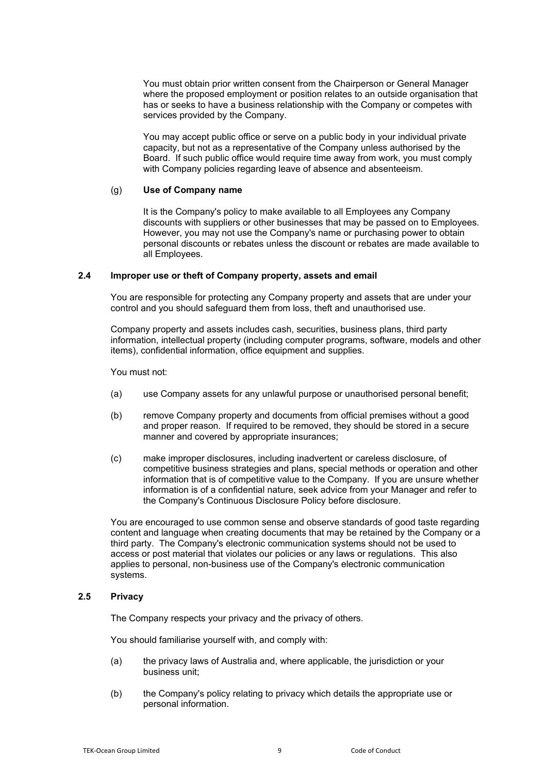You must obtain prior written consent from the Chairperson or General Manager where the proposed employment or position relates to an outside organisation that has or seeks to have a business relationship with the Company or competes with services provided by the Company.

You may accept public office or serve on a public body in your individual private capacity, but not as a representative of the Company unless authorised by the Board. If such public office would require time away from work, you must comply with Company policies regarding leave of absence and absenteeism.

#### (g) **Use of Company name**

It is the Company's policy to make available to all Employees any Company discounts with suppliers or other businesses that may be passed on to Employees. However, you may not use the Company's name or purchasing power to obtain personal discounts or rebates unless the discount or rebates are made available to all Employees.

## **2.4 Improper use or theft of Company property, assets and email**

You are responsible for protecting any Company property and assets that are under your control and you should safeguard them from loss, theft and unauthorised use.

Company property and assets includes cash, securities, business plans, third party information, intellectual property (including computer programs, software, models and other items), confidential information, office equipment and supplies.

You must not:

- (a) use Company assets for any unlawful purpose or unauthorised personal benefit;
- (b) remove Company property and documents from official premises without a good and proper reason. If required to be removed, they should be stored in a secure manner and covered by appropriate insurances;
- (c) make improper disclosures, including inadvertent or careless disclosure, of competitive business strategies and plans, special methods or operation and other information that is of competitive value to the Company. If you are unsure whether information is of a confidential nature, seek advice from your Manager and refer to the Company's Continuous Disclosure Policy before disclosure.

You are encouraged to use common sense and observe standards of good taste regarding content and language when creating documents that may be retained by the Company or a third party. The Company's electronic communication systems should not be used to access or post material that violates our policies or any laws or regulations. This also applies to personal, non-business use of the Company's electronic communication systems.

#### **2.5 Privacy**

The Company respects your privacy and the privacy of others.

You should familiarise yourself with, and comply with:

- (a) the privacy laws of Australia and, where applicable, the jurisdiction or your business unit;
- (b) the Company's policy relating to privacy which details the appropriate use or personal information.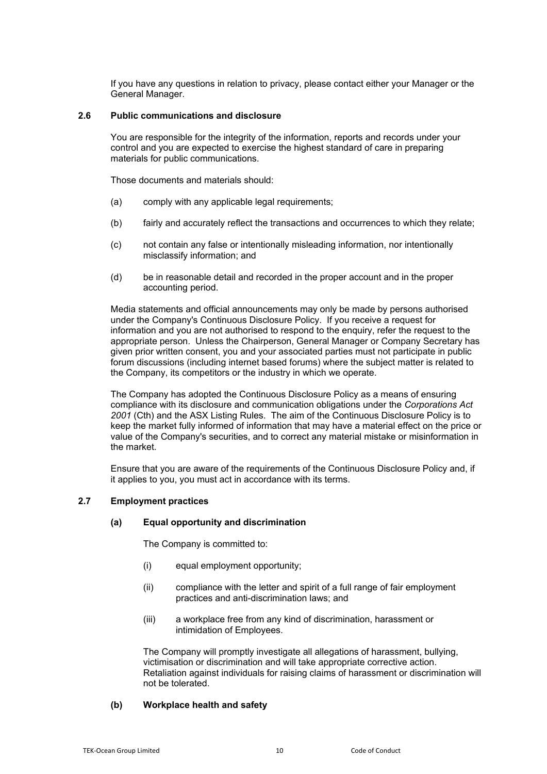If you have any questions in relation to privacy, please contact either your Manager or the General Manager.

## **2.6 Public communications and disclosure**

You are responsible for the integrity of the information, reports and records under your control and you are expected to exercise the highest standard of care in preparing materials for public communications.

Those documents and materials should:

- (a) comply with any applicable legal requirements;
- (b) fairly and accurately reflect the transactions and occurrences to which they relate;
- (c) not contain any false or intentionally misleading information, nor intentionally misclassify information; and
- (d) be in reasonable detail and recorded in the proper account and in the proper accounting period.

Media statements and official announcements may only be made by persons authorised under the Company's Continuous Disclosure Policy. If you receive a request for information and you are not authorised to respond to the enquiry, refer the request to the appropriate person. Unless the Chairperson, General Manager or Company Secretary has given prior written consent, you and your associated parties must not participate in public forum discussions (including internet based forums) where the subject matter is related to the Company, its competitors or the industry in which we operate.

The Company has adopted the Continuous Disclosure Policy as a means of ensuring compliance with its disclosure and communication obligations under the *Corporations Act 2001* (Cth) and the ASX Listing Rules. The aim of the Continuous Disclosure Policy is to keep the market fully informed of information that may have a material effect on the price or value of the Company's securities, and to correct any material mistake or misinformation in the market.

Ensure that you are aware of the requirements of the Continuous Disclosure Policy and, if it applies to you, you must act in accordance with its terms.

## **2.7 Employment practices**

#### **(a) Equal opportunity and discrimination**

The Company is committed to:

- (i) equal employment opportunity;
- (ii) compliance with the letter and spirit of a full range of fair employment practices and anti-discrimination laws; and
- (iii) a workplace free from any kind of discrimination, harassment or intimidation of Employees.

The Company will promptly investigate all allegations of harassment, bullying, victimisation or discrimination and will take appropriate corrective action. Retaliation against individuals for raising claims of harassment or discrimination will not be tolerated.

## **(b) Workplace health and safety**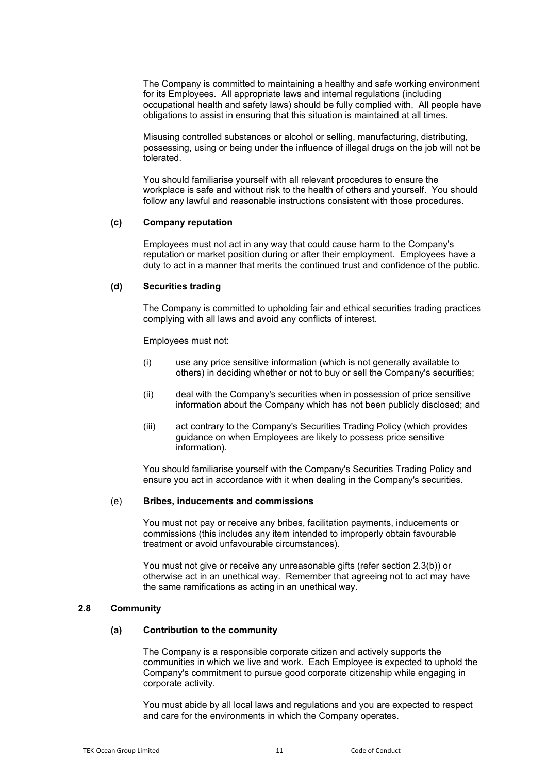The Company is committed to maintaining a healthy and safe working environment for its Employees. All appropriate laws and internal regulations (including occupational health and safety laws) should be fully complied with. All people have obligations to assist in ensuring that this situation is maintained at all times.

Misusing controlled substances or alcohol or selling, manufacturing, distributing, possessing, using or being under the influence of illegal drugs on the job will not be tolerated.

You should familiarise yourself with all relevant procedures to ensure the workplace is safe and without risk to the health of others and yourself. You should follow any lawful and reasonable instructions consistent with those procedures.

#### **(c) Company reputation**

Employees must not act in any way that could cause harm to the Company's reputation or market position during or after their employment. Employees have a duty to act in a manner that merits the continued trust and confidence of the public.

## **(d) Securities trading**

The Company is committed to upholding fair and ethical securities trading practices complying with all laws and avoid any conflicts of interest.

Employees must not:

- (i) use any price sensitive information (which is not generally available to others) in deciding whether or not to buy or sell the Company's securities;
- (ii) deal with the Company's securities when in possession of price sensitive information about the Company which has not been publicly disclosed; and
- (iii) act contrary to the Company's Securities Trading Policy (which provides guidance on when Employees are likely to possess price sensitive information).

You should familiarise yourself with the Company's Securities Trading Policy and ensure you act in accordance with it when dealing in the Company's securities.

#### (e) **Bribes, inducements and commissions**

You must not pay or receive any bribes, facilitation payments, inducements or commissions (this includes any item intended to improperly obtain favourable treatment or avoid unfavourable circumstances).

You must not give or receive any unreasonable gifts (refer section [2.3\(b\)\)](#page-6-0) or otherwise act in an unethical way. Remember that agreeing not to act may have the same ramifications as acting in an unethical way.

## **2.8 Community**

## **(a) Contribution to the community**

The Company is a responsible corporate citizen and actively supports the communities in which we live and work. Each Employee is expected to uphold the Company's commitment to pursue good corporate citizenship while engaging in corporate activity.

You must abide by all local laws and regulations and you are expected to respect and care for the environments in which the Company operates.